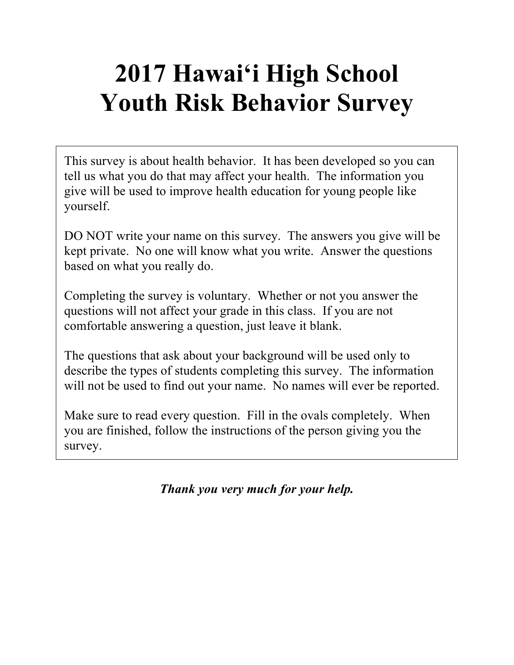# **2017 Hawai'i High School Youth Risk Behavior Survey**

This survey is about health behavior. It has been developed so you can tell us what you do that may affect your health. The information you give will be used to improve health education for young people like yourself.

DO NOT write your name on this survey. The answers you give will be kept private. No one will know what you write. Answer the questions based on what you really do.

Completing the survey is voluntary. Whether or not you answer the questions will not affect your grade in this class. If you are not comfortable answering a question, just leave it blank.

The questions that ask about your background will be used only to describe the types of students completing this survey. The information will not be used to find out your name. No names will ever be reported.

Make sure to read every question. Fill in the ovals completely. When you are finished, follow the instructions of the person giving you the survey.

*Thank you very much for your help.*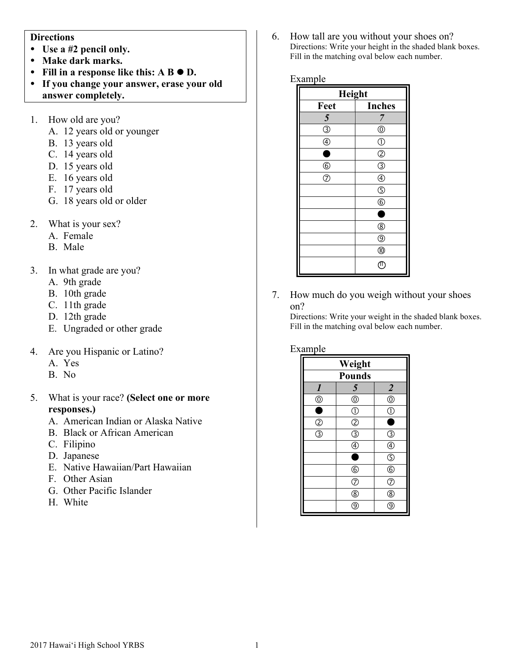#### **Directions**

- **Use a #2 pencil only.**
- **Make dark marks.**
- Fill in a response like this:  $A B \bullet D$ .
- **If you change your answer, erase your old answer completely.**
- 1. How old are you?
	- A. 12 years old or younger
	- B. 13 years old
	- C. 14 years old
	- D. 15 years old
	- E. 16 years old
	- F. 17 years old
	- G. 18 years old or older
- 2. What is your sex?
	- A. Female
	- B. Male
- 3. In what grade are you?
	- A. 9th grade
	- B. 10th grade
	- C. 11th grade
	- D. 12th grade
	- E. Ungraded or other grade
- 4. Are you Hispanic or Latino?
	- A. Yes
	- B. No
- 5. What is your race? **(Select one or more responses.)**
	- A. American Indian or Alaska Native
	- B. Black or African American
	- C. Filipino
	- D. Japanese
	- E. Native Hawaiian/Part Hawaiian
	- F. Other Asian
	- G. Other Pacific Islander
	- H. White

6. How tall are you without your shoes on? Directions: Write your height in the shaded blank boxes. Fill in the matching oval below each number.

#### Example

| Height             |                        |  |
|--------------------|------------------------|--|
| Feet               | <b>Inches</b>          |  |
| 5                  | 7                      |  |
| $\circledS$        | $^{\circledR}$         |  |
| $\circledA$        | $\circled{0}$          |  |
| 8                  | $^{\circledR}$         |  |
| $6$                | $\overline{\circledS}$ |  |
| $\overline{\circ}$ | $^{\circledR}$         |  |
|                    | $\circledS$            |  |
|                    | $^{\circ}$             |  |
|                    | ۸                      |  |
|                    | $^{\circledR}$         |  |
|                    | $^{\circledR}$         |  |
|                    | $^{\circledR}$         |  |
|                    | T                      |  |

7. How much do you weigh without your shoes on?

Directions: Write your weight in the shaded blank boxes. Fill in the matching oval below each number.

#### Example

| Weight                  |                                      |                         |
|-------------------------|--------------------------------------|-------------------------|
| <b>Pounds</b>           |                                      |                         |
| $\boldsymbol{l}$        | 5                                    | $\overline{2}$          |
| $^\copyright$           | $\circledcirc$                       | $\circledcirc$          |
| ٦                       | $\overline{\mathbb{O}}$              | Ī                       |
| $\circled{2}$           | $\overline{c}$                       |                         |
| $\overline{\mathbb{3}}$ | $\overline{\bigcirc}$                | 3                       |
|                         | $\overline{\textcircled{\small{4}}}$ | C                       |
|                         | E                                    | $\overline{\mathbb{G}}$ |
|                         | $\circledS$                          | $\overline{6}$          |
|                         | $\overline{O}$                       | T                       |
|                         | $\overline{\circledast}$             | 8                       |
|                         | g                                    |                         |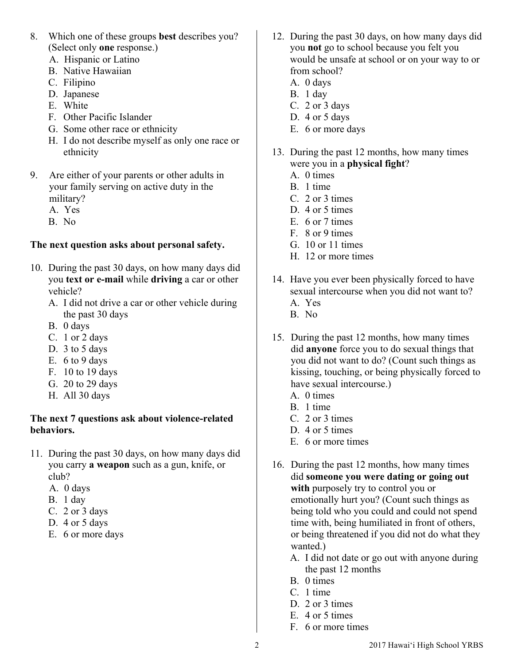- 8. Which one of these groups **best** describes you? (Select only **one** response.)
	- A. Hispanic or Latino
	- B. Native Hawaiian
	- C. Filipino
	- D. Japanese
	- E. White
	- F. Other Pacific Islander
	- G. Some other race or ethnicity
	- H. I do not describe myself as only one race or ethnicity
- 9. Are either of your parents or other adults in your family serving on active duty in the military?
	- A. Yes
	- B. No

## **The next question asks about personal safety.**

- 10. During the past 30 days, on how many days did you **text or e-mail** while **driving** a car or other vehicle?
	- A. I did not drive a car or other vehicle during the past 30 days
	- B. 0 days
	- C. 1 or 2 days
	- D. 3 to 5 days
	- E. 6 to 9 days
	- F. 10 to 19 days
	- G. 20 to 29 days
	- H. All 30 days

#### **The next 7 questions ask about violence-related behaviors.**

- 11. During the past 30 days, on how many days did you carry **a weapon** such as a gun, knife, or club?
	- A. 0 days
	- B. 1 day
	- C. 2 or 3 days
	- D. 4 or 5 days
	- E. 6 or more days
- 12. During the past 30 days, on how many days did you **not** go to school because you felt you would be unsafe at school or on your way to or from school?
	- A. 0 days
	- B. 1 day
	- C. 2 or 3 days D. 4 or 5 days
	- E. 6 or more days
- 13. During the past 12 months, how many times were you in a **physical fight**?
	- A. 0 times
	- B. 1 time
	- C. 2 or 3 times
	- D. 4 or 5 times
	- E. 6 or 7 times
	- F. 8 or 9 times
	- G. 10 or 11 times
	- H. 12 or more times
- 14. Have you ever been physically forced to have sexual intercourse when you did not want to? A. Yes
	- B. No
- 15. During the past 12 months, how many times did **anyone** force you to do sexual things that you did not want to do? (Count such things as kissing, touching, or being physically forced to have sexual intercourse.)
	- A. 0 times
	- B. 1 time
	- C. 2 or 3 times
	- D. 4 or 5 times
	- E. 6 or more times
- 16. During the past 12 months, how many times did **someone you were dating or going out with** purposely try to control you or emotionally hurt you? (Count such things as being told who you could and could not spend time with, being humiliated in front of others, or being threatened if you did not do what they wanted.)
	- A. I did not date or go out with anyone during the past 12 months
	- B. 0 times
	- C. 1 time
	- D. 2 or 3 times
	- E. 4 or 5 times
	- F. 6 or more times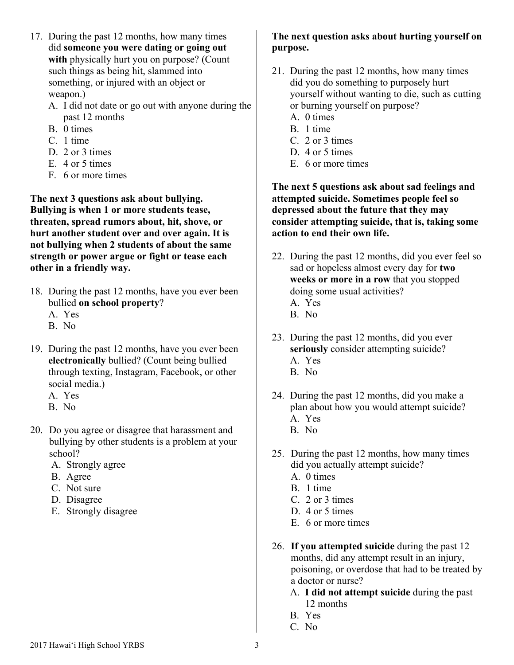- 17. During the past 12 months, how many times did **someone you were dating or going out with** physically hurt you on purpose? (Count such things as being hit, slammed into something, or injured with an object or weapon.)
	- A. I did not date or go out with anyone during the past 12 months
	- B. 0 times
	- C. 1 time
	- D. 2 or 3 times
	- E. 4 or 5 times
	- F. 6 or more times

**The next 3 questions ask about bullying. Bullying is when 1 or more students tease, threaten, spread rumors about, hit, shove, or hurt another student over and over again. It is not bullying when 2 students of about the same strength or power argue or fight or tease each other in a friendly way.**

- 18. During the past 12 months, have you ever been bullied **on school property**?
	- A. Yes
	- B. No
- 19. During the past 12 months, have you ever been **electronically** bullied? (Count being bullied through texting, Instagram, Facebook, or other social media.)
	- A. Yes
	- B. No
- 20. Do you agree or disagree that harassment and bullying by other students is a problem at your school?
	- A. Strongly agree
	- B. Agree
	- C. Not sure
	- D. Disagree
	- E. Strongly disagree

# **The next question asks about hurting yourself on purpose.**

- 21. During the past 12 months, how many times did you do something to purposely hurt yourself without wanting to die, such as cutting or burning yourself on purpose?
	- A. 0 times
	- B. 1 time
	- C. 2 or 3 times
	- D. 4 or 5 times
	- E. 6 or more times

**The next 5 questions ask about sad feelings and attempted suicide. Sometimes people feel so depressed about the future that they may consider attempting suicide, that is, taking some action to end their own life.**

- 22. During the past 12 months, did you ever feel so sad or hopeless almost every day for **two weeks or more in a row** that you stopped doing some usual activities? A. Yes
	- B. No
- 23. During the past 12 months, did you ever **seriously** consider attempting suicide? A. Yes
	- B. No
- 24. During the past 12 months, did you make a plan about how you would attempt suicide? A. Yes B. No
- 25. During the past 12 months, how many times did you actually attempt suicide?
	- A. 0 times
	- B. 1 time
	- C. 2 or 3 times
	- D. 4 or 5 times
	- E. 6 or more times
- 26. **If you attempted suicide** during the past 12 months, did any attempt result in an injury, poisoning, or overdose that had to be treated by a doctor or nurse?
	- A. **I did not attempt suicide** during the past 12 months
	- B. Yes
	- C. No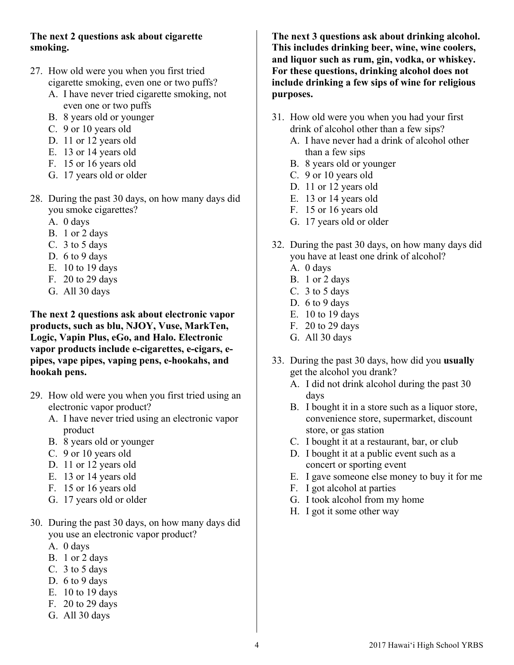## **The next 2 questions ask about cigarette smoking.**

- 27. How old were you when you first tried cigarette smoking, even one or two puffs?
	- A. I have never tried cigarette smoking, not even one or two puffs
	- B. 8 years old or younger
	- C. 9 or 10 years old
	- D. 11 or 12 years old
	- E. 13 or 14 years old
	- F. 15 or 16 years old
	- G. 17 years old or older
- 28. During the past 30 days, on how many days did you smoke cigarettes?
	- A. 0 days
	- B. 1 or 2 days
	- C. 3 to 5 days
	- D. 6 to 9 days
	- E. 10 to 19 days
	- F. 20 to 29 days
	- G. All 30 days

**The next 2 questions ask about electronic vapor products, such as blu, NJOY, Vuse, MarkTen, Logic, Vapin Plus, eGo, and Halo. Electronic vapor products include e-cigarettes, e-cigars, epipes, vape pipes, vaping pens, e-hookahs, and hookah pens.**

- 29. How old were you when you first tried using an electronic vapor product?
	- A. I have never tried using an electronic vapor product
	- B. 8 years old or younger
	- C. 9 or 10 years old
	- D. 11 or 12 years old
	- E. 13 or 14 years old
	- F. 15 or 16 years old
	- G. 17 years old or older
- 30. During the past 30 days, on how many days did you use an electronic vapor product?
	- A. 0 days
	- B. 1 or 2 days
	- C. 3 to 5 days
	- D. 6 to 9 days
	- E. 10 to 19 days
	- F. 20 to 29 days
	- G. All 30 days

**The next 3 questions ask about drinking alcohol. This includes drinking beer, wine, wine coolers, and liquor such as rum, gin, vodka, or whiskey. For these questions, drinking alcohol does not include drinking a few sips of wine for religious purposes.**

- 31. How old were you when you had your first drink of alcohol other than a few sips?
	- A. I have never had a drink of alcohol other than a few sips
	- B. 8 years old or younger
	- C. 9 or 10 years old
	- D. 11 or 12 years old
	- E. 13 or 14 years old
	- F. 15 or 16 years old
	- G. 17 years old or older
- 32. During the past 30 days, on how many days did you have at least one drink of alcohol?
	- A. 0 days
	- B. 1 or 2 days
	- C. 3 to 5 days
	- D. 6 to 9 days
	- E. 10 to 19 days
	- F. 20 to 29 days
	- G. All 30 days
- 33. During the past 30 days, how did you **usually** get the alcohol you drank?
	- A. I did not drink alcohol during the past 30 days
	- B. I bought it in a store such as a liquor store, convenience store, supermarket, discount store, or gas station
	- C. I bought it at a restaurant, bar, or club
	- D. I bought it at a public event such as a concert or sporting event
	- E. I gave someone else money to buy it for me
	- F. I got alcohol at parties
	- G. I took alcohol from my home
	- H. I got it some other way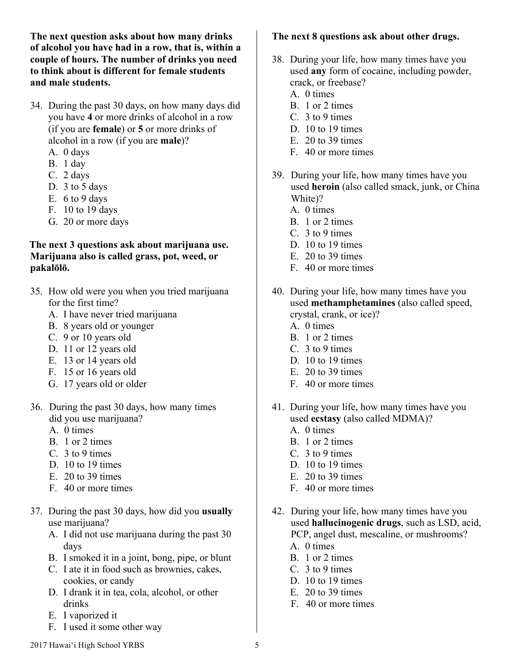**The next question asks about how many drinks of alcohol you have had in a row, that is, within a couple of hours. The number of drinks you need to think about is different for female students and male students.**

- 34. During the past 30 days, on how many days did you have **4** or more drinks of alcohol in a row (if you are **female**) or **5** or more drinks of alcohol in a row (if you are **male**)?
	- A. 0 days
	- B. 1 day
	- C. 2 days
	- D. 3 to 5 days
	- E. 6 to 9 days
	- F. 10 to 19 days
	- G. 20 or more days

#### **The next 3 questions ask about marijuana use. Marijuana also is called grass, pot, weed, or pakalōlō.**

- 35. How old were you when you tried marijuana for the first time?
	- A. I have never tried marijuana
	- B. 8 years old or younger
	- C. 9 or 10 years old
	- D. 11 or 12 years old
	- E. 13 or 14 years old
	- F. 15 or 16 years old
	- G. 17 years old or older
- 36. During the past 30 days, how many times did you use marijuana?
	- A. 0 times
	- B. 1 or 2 times
	- C. 3 to 9 times
	- D. 10 to 19 times
	- E. 20 to 39 times
	- F. 40 or more times
- 37. During the past 30 days, how did you **usually**  use marijuana?
	- A. I did not use marijuana during the past 30 days
	- B. I smoked it in a joint, bong, pipe, or blunt
	- C. I ate it in food such as brownies, cakes, cookies, or candy
	- D. I drank it in tea, cola, alcohol, or other drinks
	- E. I vaporized it
	- F. I used it some other way

# **The next 8 questions ask about other drugs.**

- 38. During your life, how many times have you used **any** form of cocaine, including powder, crack, or freebase?
	- A. 0 times
	- B. 1 or 2 times
	- C. 3 to 9 times
	- D. 10 to 19 times
	- E. 20 to 39 times
	- F. 40 or more times
- 39. During your life, how many times have you used **heroin** (also called smack, junk, or China White)?
	- A. 0 times
	- B. 1 or 2 times
	- C. 3 to 9 times
	- D. 10 to 19 times
	- E. 20 to 39 times
	- F. 40 or more times
- 40. During your life, how many times have you used **methamphetamines** (also called speed, crystal, crank, or ice)?
	- A. 0 times
	- B. 1 or 2 times
	- C. 3 to 9 times
	- D. 10 to 19 times
	- E. 20 to 39 times
	- F. 40 or more times
- 41. During your life, how many times have you used **ecstasy** (also called MDMA)?
	- A. 0 times
	- B. 1 or 2 times
	- C. 3 to 9 times
	- D. 10 to 19 times
	- E. 20 to 39 times
	- F. 40 or more times
- 42. During your life, how many times have you used **hallucinogenic drugs**, such as LSD, acid, PCP, angel dust, mescaline, or mushrooms?
	- A. 0 times
	- B. 1 or 2 times
	- C. 3 to 9 times
	- D. 10 to 19 times
	- E. 20 to 39 times
	- F. 40 or more times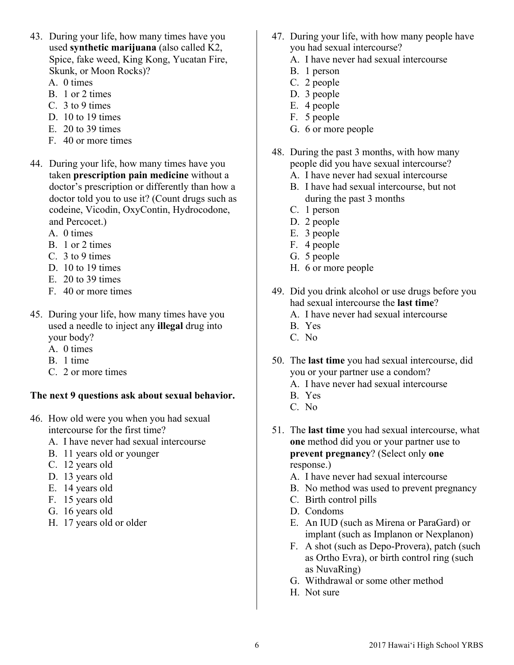- 43. During your life, how many times have you used **synthetic marijuana** (also called K2, Spice, fake weed, King Kong, Yucatan Fire, Skunk, or Moon Rocks)?
	- A. 0 times
	- B. 1 or 2 times
	- C. 3 to 9 times
	- D. 10 to 19 times
	- E. 20 to 39 times
	- F. 40 or more times
- 44. During your life, how many times have you taken **prescription pain medicine** without a doctor's prescription or differently than how a doctor told you to use it? (Count drugs such as codeine, Vicodin, OxyContin, Hydrocodone, and Percocet.)
	- A. 0 times
	- B. 1 or 2 times
	- C. 3 to 9 times
	- D. 10 to 19 times
	- E. 20 to 39 times
	- F. 40 or more times
- 45. During your life, how many times have you used a needle to inject any **illegal** drug into your body?
	- A. 0 times
	- B. 1 time
	- C. 2 or more times

#### **The next 9 questions ask about sexual behavior.**

- 46. How old were you when you had sexual intercourse for the first time?
	- A. I have never had sexual intercourse
	- B. 11 years old or younger
	- C. 12 years old
	- D. 13 years old
	- E. 14 years old
	- F. 15 years old
	- G. 16 years old
	- H. 17 years old or older
- 47. During your life, with how many people have you had sexual intercourse?
	- A. I have never had sexual intercourse
	- B. 1 person
	- C. 2 people
	- D. 3 people
	- E. 4 people
	- F. 5 people
	- G. 6 or more people
- 48. During the past 3 months, with how many people did you have sexual intercourse? A. I have never had sexual intercourse
	-
	- B. I have had sexual intercourse, but not during the past 3 months
	- C. 1 person
	- D. 2 people
	- E. 3 people
	- F. 4 people
	- G. 5 people
	- H. 6 or more people
- 49. Did you drink alcohol or use drugs before you had sexual intercourse the **last time**? A. I have never had sexual intercourse
	- B. Yes
	- C. No
- 50. The **last time** you had sexual intercourse, did you or your partner use a condom? A. I have never had sexual intercourse
	-
	- B. Yes
	- C. No
- 51. The **last time** you had sexual intercourse, what **one** method did you or your partner use to **prevent pregnancy**? (Select only **one**  response.)
	- A. I have never had sexual intercourse
	- B. No method was used to prevent pregnancy
	- C. Birth control pills
	- D. Condoms
	- E. An IUD (such as Mirena or ParaGard) or implant (such as Implanon or Nexplanon)
	- F. A shot (such as Depo-Provera), patch (such as Ortho Evra), or birth control ring (such as NuvaRing)
	- G. Withdrawal or some other method
	- H. Not sure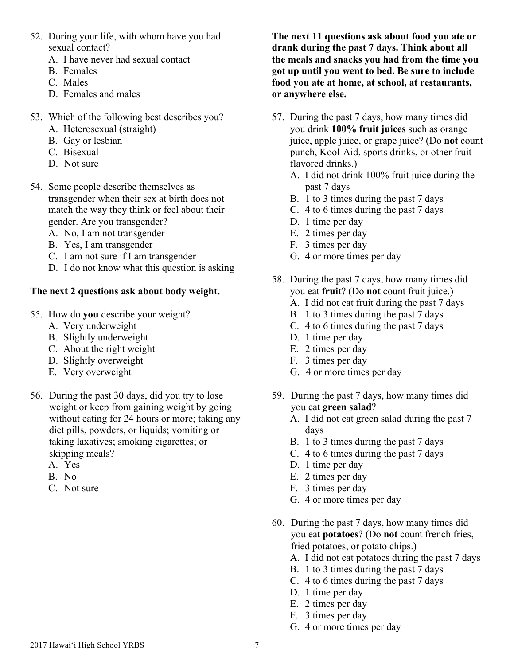- 52. During your life, with whom have you had sexual contact?
	- A. I have never had sexual contact
	- B. Females
	- C. Males
	- D. Females and males
- 53. Which of the following best describes you?
	- A. Heterosexual (straight)
	- B. Gay or lesbian
	- C. Bisexual
	- D. Not sure
- 54. Some people describe themselves as transgender when their sex at birth does not match the way they think or feel about their gender. Are you transgender?
	- A. No, I am not transgender
	- B. Yes, I am transgender
	- C. I am not sure if I am transgender
	- D. I do not know what this question is asking

## **The next 2 questions ask about body weight.**

- 55. How do **you** describe your weight?
	- A. Very underweight
	- B. Slightly underweight
	- C. About the right weight
	- D. Slightly overweight
	- E. Very overweight
- 56. During the past 30 days, did you try to lose weight or keep from gaining weight by going without eating for 24 hours or more; taking any diet pills, powders, or liquids; vomiting or taking laxatives; smoking cigarettes; or skipping meals?
	- A. Yes
	- B. No
	- C. Not sure

**The next 11 questions ask about food you ate or drank during the past 7 days. Think about all the meals and snacks you had from the time you got up until you went to bed. Be sure to include food you ate at home, at school, at restaurants, or anywhere else.**

- 57. During the past 7 days, how many times did you drink **100% fruit juices** such as orange juice, apple juice, or grape juice? (Do **not** count punch, Kool-Aid, sports drinks, or other fruitflavored drinks.)
	- A. I did not drink 100% fruit juice during the past 7 days
	- B. 1 to 3 times during the past 7 days
	- C. 4 to 6 times during the past 7 days
	- D. 1 time per day
	- E. 2 times per day
	- F. 3 times per day
	- G. 4 or more times per day
- 58. During the past 7 days, how many times did you eat **fruit**? (Do **not** count fruit juice.)
	- A. I did not eat fruit during the past 7 days
	- B. 1 to 3 times during the past 7 days
	- C. 4 to 6 times during the past 7 days
	- D. 1 time per day
	- E. 2 times per day
	- F. 3 times per day
	- G. 4 or more times per day
- 59. During the past 7 days, how many times did you eat **green salad**?
	- A. I did not eat green salad during the past 7 days
	- B. 1 to 3 times during the past 7 days
	- C. 4 to 6 times during the past 7 days
	- D. 1 time per day
	- E. 2 times per day
	- F. 3 times per day
	- G. 4 or more times per day
- 60. During the past 7 days, how many times did you eat **potatoes**? (Do **not** count french fries, fried potatoes, or potato chips.)
	- A. I did not eat potatoes during the past 7 days
	- B. 1 to 3 times during the past 7 days
	- C. 4 to 6 times during the past 7 days
	- D. 1 time per day
	- E. 2 times per day
	- F. 3 times per day
	- G. 4 or more times per day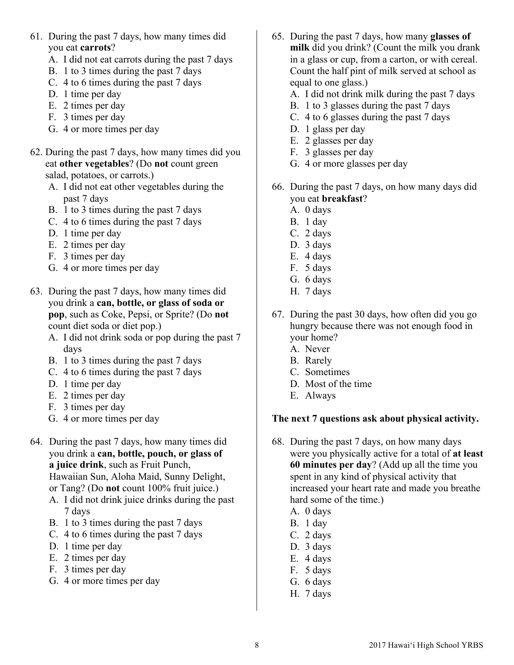- 61. During the past 7 days, how many times did you eat **carrots**?
	- A. I did not eat carrots during the past 7 days
	- B. 1 to 3 times during the past 7 days
	- C. 4 to 6 times during the past 7 days
	- D. 1 time per day
	- E. 2 times per day
	- F. 3 times per day
	- G. 4 or more times per day
- 62. During the past 7 days, how many times did you eat **other vegetables**? (Do **not** count green salad, potatoes, or carrots.)
	- A. I did not eat other vegetables during the past 7 days
	- B. 1 to 3 times during the past 7 days
	- C. 4 to 6 times during the past 7 days
	- D. 1 time per day
	- E. 2 times per day
	- F. 3 times per day
	- G. 4 or more times per day
- 63. During the past 7 days, how many times did you drink a **can, bottle, or glass of soda or pop**, such as Coke, Pepsi, or Sprite? (Do **not** count diet soda or diet pop.)
	- A. I did not drink soda or pop during the past 7 days
	- B. 1 to 3 times during the past 7 days
	- C. 4 to 6 times during the past 7 days
	- D. 1 time per day
	- E. 2 times per day
	- F. 3 times per day
	- G. 4 or more times per day
- 64. During the past 7 days, how many times did you drink a **can, bottle, pouch, or glass of a juice drink**, such as Fruit Punch, Hawaiian Sun, Aloha Maid, Sunny Delight, or Tang? (Do **not** count 100% fruit juice.)
	- A. I did not drink juice drinks during the past 7 days
	- B. 1 to 3 times during the past 7 days
	- C. 4 to 6 times during the past 7 days
	- D. 1 time per day
	- E. 2 times per day
	- F. 3 times per day
	- G. 4 or more times per day
- 65. During the past 7 days, how many **glasses of milk** did you drink? (Count the milk you drank in a glass or cup, from a carton, or with cereal. Count the half pint of milk served at school as equal to one glass.)
	- A. I did not drink milk during the past 7 days
	- B. 1 to 3 glasses during the past 7 days
	- C. 4 to 6 glasses during the past 7 days
	- D. 1 glass per day
	- E. 2 glasses per day
	- F. 3 glasses per day
	- G. 4 or more glasses per day
- 66. During the past 7 days, on how many days did you eat **breakfast**?
	- A. 0 days
	- B. 1 day
	- C. 2 days
	- D. 3 days
	- E. 4 days
	- F. 5 days
	- G. 6 days
	- H. 7 days
- 67. During the past 30 days, how often did you go hungry because there was not enough food in your home?
	- A. Never
	- B. Rarely
	- C. Sometimes
	- D. Most of the time
	- E. Always

## **The next 7 questions ask about physical activity.**

- 68. During the past 7 days, on how many days were you physically active for a total of **at least 60 minutes per day**? (Add up all the time you spent in any kind of physical activity that increased your heart rate and made you breathe hard some of the time.)
	- A. 0 days
	- B. 1 day
	- C. 2 days
	- D. 3 days
	- E. 4 days
	- F. 5 days
	- G. 6 days
	- H. 7 days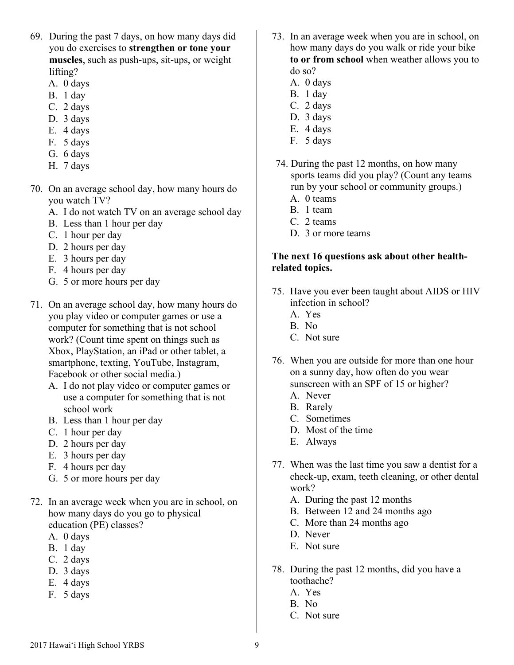- 69. During the past 7 days, on how many days did you do exercises to **strengthen or tone your muscles**, such as push-ups, sit-ups, or weight lifting?
	- A. 0 days
	- B. 1 day
	- C. 2 days
	- D. 3 days
	- E. 4 days
	- F. 5 days
	- G. 6 days
	- H. 7 days
- 70. On an average school day, how many hours do you watch TV?
	- A. I do not watch TV on an average school day
	- B. Less than 1 hour per day
	- C. 1 hour per day
	- D. 2 hours per day
	- E. 3 hours per day
	- F. 4 hours per day
	- G. 5 or more hours per day
- 71. On an average school day, how many hours do you play video or computer games or use a computer for something that is not school work? (Count time spent on things such as Xbox, PlayStation, an iPad or other tablet, a smartphone, texting, YouTube, Instagram, Facebook or other social media.)
	- A. I do not play video or computer games or use a computer for something that is not school work
	- B. Less than 1 hour per day
	- C. 1 hour per day
	- D. 2 hours per day
	- E. 3 hours per day
	- F. 4 hours per day
	- G. 5 or more hours per day
- 72. In an average week when you are in school, on how many days do you go to physical education (PE) classes?
	- A. 0 days
	- B. 1 day
	- C. 2 days
	- D. 3 days
	- E. 4 days
	- F. 5 days
- 73. In an average week when you are in school, on how many days do you walk or ride your bike **to or from school** when weather allows you to do so?
	- A. 0 days
	- B. 1 day
	- C. 2 days
	- D. 3 days
	- E. 4 days
	- F. 5 days
- 74. During the past 12 months, on how many sports teams did you play? (Count any teams run by your school or community groups.)
	- A. 0 teams
	- B. 1 team
	- C. 2 teams
	- D<sub>3</sub> or more teams

#### **The next 16 questions ask about other healthrelated topics.**

- 75. Have you ever been taught about AIDS or HIV infection in school?
	- A. Yes
	- B. No
	- C. Not sure
- 76. When you are outside for more than one hour on a sunny day, how often do you wear sunscreen with an SPF of 15 or higher?
	- A. Never
	- B. Rarely
	- C. Sometimes
	- D. Most of the time
	- E. Always
- 77. When was the last time you saw a dentist for a check-up, exam, teeth cleaning, or other dental work?
	- A. During the past 12 months
	- B. Between 12 and 24 months ago
	- C. More than 24 months ago
	- D. Never
	- E. Not sure
- 78. During the past 12 months, did you have a toothache?
	- A. Yes
	- B. No
	- C. Not sure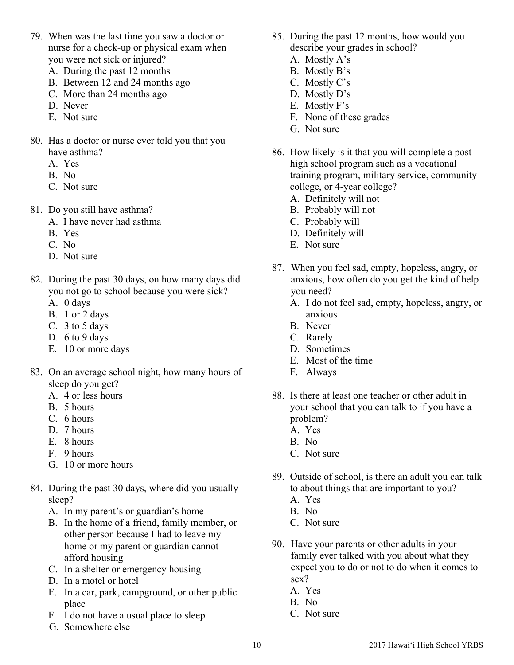- 79. When was the last time you saw a doctor or nurse for a check-up or physical exam when you were not sick or injured?
	- A. During the past 12 months
	- B. Between 12 and 24 months ago
	- C. More than 24 months ago
	- D. Never
	- E. Not sure
- 80. Has a doctor or nurse ever told you that you have asthma?
	- A. Yes
	- B. No
	- C. Not sure
- 81. Do you still have asthma?
	- A. I have never had asthma
	- B. Yes
	- C. No
	- D. Not sure
- 82. During the past 30 days, on how many days did you not go to school because you were sick?
	- A. 0 days
	- B. 1 or 2 days
	- C. 3 to 5 days
	- D. 6 to 9 days
	- E. 10 or more days
- 83. On an average school night, how many hours of sleep do you get?
	- A. 4 or less hours
	- B. 5 hours
	- C. 6 hours
	- D. 7 hours
	- E. 8 hours
	- F. 9 hours
	- G. 10 or more hours
- 84. During the past 30 days, where did you usually sleep?
	- A. In my parent's or guardian's home
	- B. In the home of a friend, family member, or other person because I had to leave my home or my parent or guardian cannot afford housing
	- C. In a shelter or emergency housing
	- D. In a motel or hotel
	- E. In a car, park, campground, or other public place
	- F. I do not have a usual place to sleep
	- G. Somewhere else
- 85. During the past 12 months, how would you describe your grades in school?
	- A. Mostly A's
	- B. Mostly B's
	- C. Mostly C's
	- D. Mostly D's
	- E. Mostly F's
	- F. None of these grades
	- G. Not sure
- 86. How likely is it that you will complete a post high school program such as a vocational training program, military service, community college, or 4-year college?
	- A. Definitely will not
	- B. Probably will not
	- C. Probably will
	- D. Definitely will
	- E. Not sure
- 87. When you feel sad, empty, hopeless, angry, or anxious, how often do you get the kind of help you need?
	- A. I do not feel sad, empty, hopeless, angry, or anxious
	- B. Never
	- C. Rarely
	- D. Sometimes
	- E. Most of the time
	- F. Always
- 88. Is there at least one teacher or other adult in your school that you can talk to if you have a problem?
	- A. Yes
	- B. No
	- C. Not sure
- 89. Outside of school, is there an adult you can talk to about things that are important to you?
	- A. Yes
	- B. No
	- C. Not sure
- 90. Have your parents or other adults in your family ever talked with you about what they expect you to do or not to do when it comes to sex?
	- A. Yes
	- B. No
	- C. Not sure